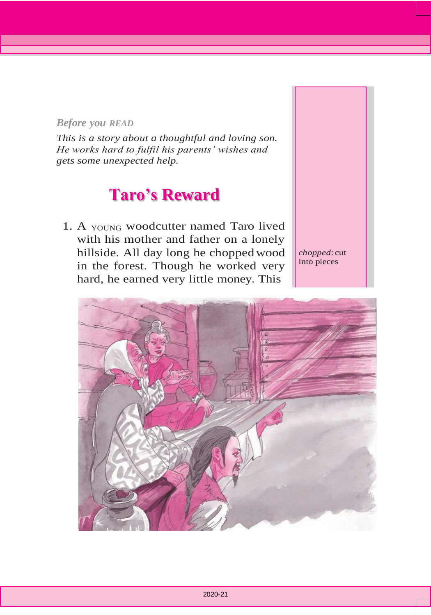## *Before you READ*

*This is a story about a thoughtful and loving son. He works hard to fulfil his parents' wishes and gets some unexpected help.*

## **Taro's Reward**

1. A YOUNG woodcutter named Taro lived with his mother and father on a lonely hillside. All day long he choppedwood in the forest. Though he worked very hard, he earned very little money. This

*chopped*: cut into pieces

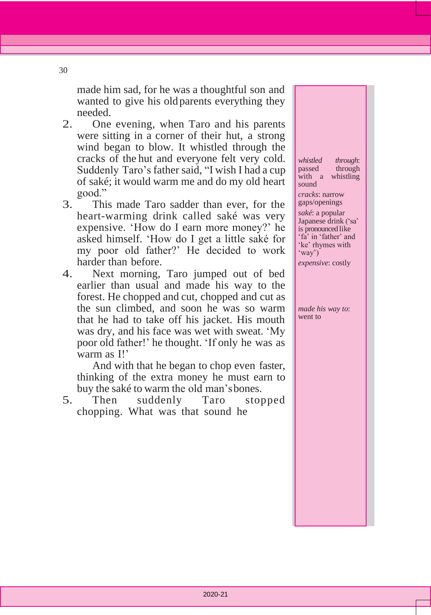made him sad, for he was a thoughtful son and wanted to give his oldparents everything they needed.

- 2. One evening, when Taro and his parents were sitting in a corner of their hut, a strong wind began to blow. It whistled through the cracks of the hut and everyone felt very cold. Suddenly Taro's father said, "I wish I had a cup of saké; it would warm me and do my old heart good."
- 3. This made Taro sadder than ever, for the heart-warming drink called saké was very expensive. 'How do I earn more money?' he asked himself. 'How do I get a little saké for my poor old father?' He decided to work harder than before.
- 4. Next morning, Taro jumped out of bed earlier than usual and made his way to the forest. He chopped and cut, chopped and cut as the sun climbed, and soon he was so warm that he had to take off his jacket. His mouth was dry, and his face was wet with sweat. 'My poor old father!' he thought. 'If only he was as warm as I!'

And with that he began to chop even faster, thinking of the extra money he must earn to buy the saké to warm the old man'sbones.

5. Then suddenly Taro stopped chopping. What was that sound he

*whistled through*: through with a whistling sound *cracks*: narrow

gaps/openings *saké*: a popular Japanese drink ('sa' is pronounced like 'fa' in 'father' and 'ke' rhymes with 'way') *expensive*: costly

*made his way to*: went to

30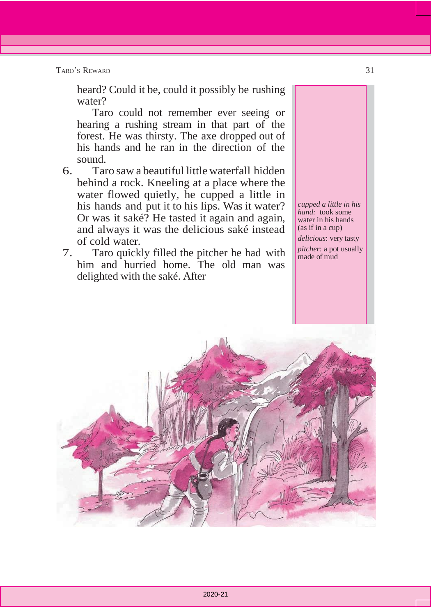TARO'S REWARD 31

heard? Could it be, could it possibly be rushing water?

Taro could not remember ever seeing or hearing a rushing stream in that part of the forest. He was thirsty. The axe dropped out of his hands and he ran in the direction of the sound.

- 6. Taro saw a beautiful little waterfall hidden behind a rock. Kneeling at a place where the water flowed quietly, he cupped a little in his hands and put it to his lips. Was it water? Or was it saké? He tasted it again and again, and always it was the delicious saké instead of cold water.
- 7. Taro quickly filled the pitcher he had with him and hurried home. The old man was delighted with the saké. After

*cupped a little in his hand:* took some water in his hands (as if in a cup)

*delicious*: very tasty *pitcher*: a pot usually made of mud

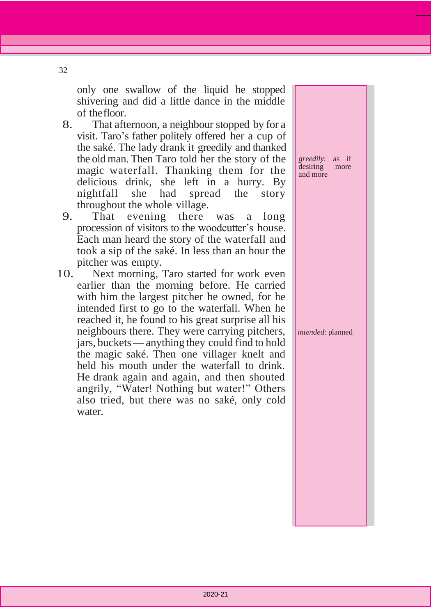only one swallow of the liquid he stopped shivering and did a little dance in the middle of thefloor.

- 8. That afternoon, a neighbour stopped by for a visit. Taro's father politely offered her a cup of the saké. The lady drank it greedily and thanked the old man. Then Taro told her the story of the magic waterfall. Thanking them for the delicious drink, she left in a hurry. By nightfall she had spread the story throughout the whole village.
- 9. That evening there was a long procession of visitors to the woodcutter's house. Each man heard the story of the waterfall and took a sip of the saké. In less than an hour the pitcher was empty.
- 10. Next morning, Taro started for work even earlier than the morning before. He carried with him the largest pitcher he owned, for he intended first to go to the waterfall. When he reached it, he found to his great surprise all his neighbours there. They were carrying pitchers, jars, buckets—anything they could find to hold the magic saké. Then one villager knelt and held his mouth under the waterfall to drink. He drank again and again, and then shouted angrily, "Water! Nothing but water!" Others also tried, but there was no saké, only cold water.

*greedily*: as if desiring more and more

*intended*: planned

32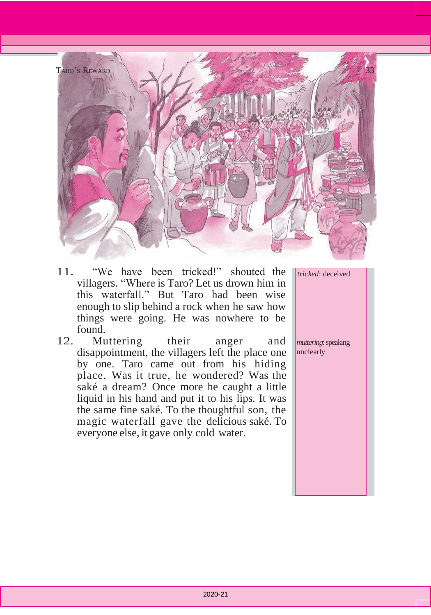

- 11. "We have been tricked!" shouted the villagers. "Where is Taro? Let us drown him in this waterfall." But Taro had been wise enough to slip behind a rock when he saw how things were going. He was nowhere to be found.
- 12. Muttering their anger and disappointment, the villagers left the place one by one. Taro came out from his hiding place. Was it true, he wondered? Was the saké a dream? Once more he caught a little liquid in his hand and put it to his lips. It was the same fine saké. To the thoughtful son, the magic waterfall gave the delicious saké. To everyone else, it gave only cold water.

*tricked*: deceived

*muttering*: speaking unclearly